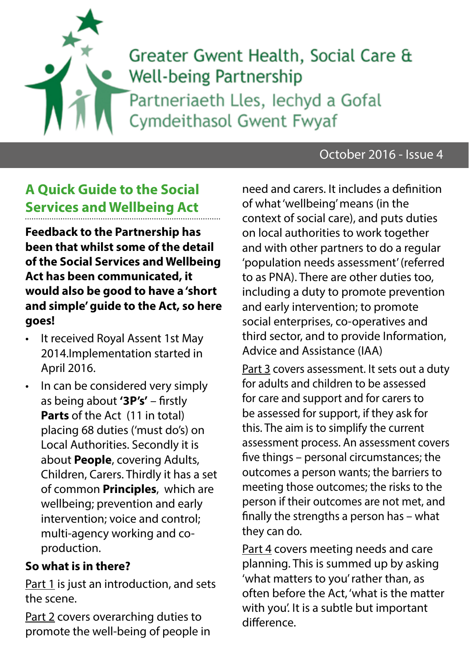# Greater Gwent Health, Social Care & **Well-being Partnership** Partneriaeth Lles, lechyd a Gofal Cymdeithasol Gwent Fwyaf

### October 2016 - Issue 4

## **A Quick Guide to the Social Services and Wellbeing Act**

**Feedback to the Partnership has been that whilst some of the detail of the Social Services and Wellbeing Act has been communicated, it would also be good to have a 'short and simple' guide to the Act, so here goes!**

- It received Royal Assent 1st May 2014.Implementation started in April 2016.
- In can be considered very simply as being about **'3P's'** – firstly **Parts** of the Act (11 in total) placing 68 duties ('must do's) on Local Authorities. Secondly it is about **People**, covering Adults, Children, Carers. Thirdly it has a set of common **Principles**, which are wellbeing; prevention and early intervention; voice and control; multi-agency working and coproduction.

#### **So what is in there?**

Part 1 is just an introduction, and sets the scene.

Part 2 covers overarching duties to promote the well-being of people in need and carers. It includes a definition of what 'wellbeing' means (in the context of social care), and puts duties on local authorities to work together and with other partners to do a regular 'population needs assessment' (referred to as PNA). There are other duties too, including a duty to promote prevention and early intervention; to promote social enterprises, co-operatives and third sector, and to provide Information, Advice and Assistance (IAA)

Part 3 covers assessment. It sets out a duty for adults and children to be assessed for care and support and for carers to be assessed for support, if they ask for this. The aim is to simplify the current assessment process. An assessment covers five things – personal circumstances; the outcomes a person wants; the barriers to meeting those outcomes; the risks to the person if their outcomes are not met, and finally the strengths a person has – what they can do.

Part 4 covers meeting needs and care planning. This is summed up by asking 'what matters to you' rather than, as often before the Act, 'what is the matter with you'. It is a subtle but important difference.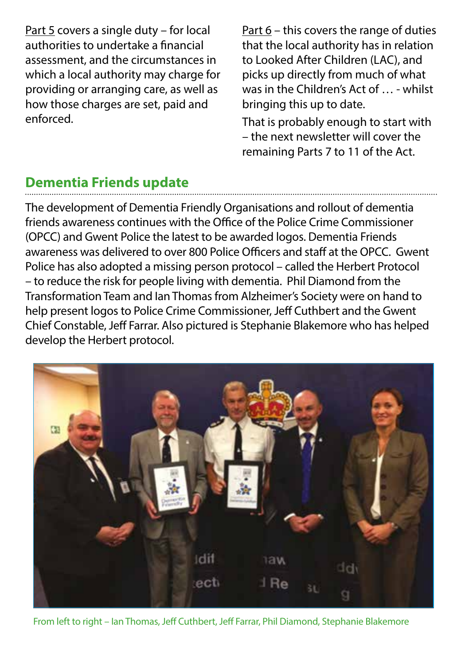Part 5 covers a single duty – for local authorities to undertake a financial assessment, and the circumstances in which a local authority may charge for providing or arranging care, as well as how those charges are set, paid and enforced.

Part 6 – this covers the range of duties that the local authority has in relation to Looked After Children (LAC), and picks up directly from much of what was in the Children's Act of … - whilst bringing this up to date.

That is probably enough to start with – the next newsletter will cover the remaining Parts 7 to 11 of the Act.

### **Dementia Friends update**

The development of Dementia Friendly Organisations and rollout of dementia friends awareness continues with the Office of the Police Crime Commissioner (OPCC) and Gwent Police the latest to be awarded logos. Dementia Friends awareness was delivered to over 800 Police Officers and staff at the OPCC. Gwent Police has also adopted a missing person protocol – called the Herbert Protocol – to reduce the risk for people living with dementia. Phil Diamond from the Transformation Team and Ian Thomas from Alzheimer's Society were on hand to help present logos to Police Crime Commissioner, Jeff Cuthbert and the Gwent Chief Constable, Jeff Farrar. Also pictured is Stephanie Blakemore who has helped develop the Herbert protocol.



From left to right – Ian Thomas, Jeff Cuthbert, Jeff Farrar, Phil Diamond, Stephanie Blakemore